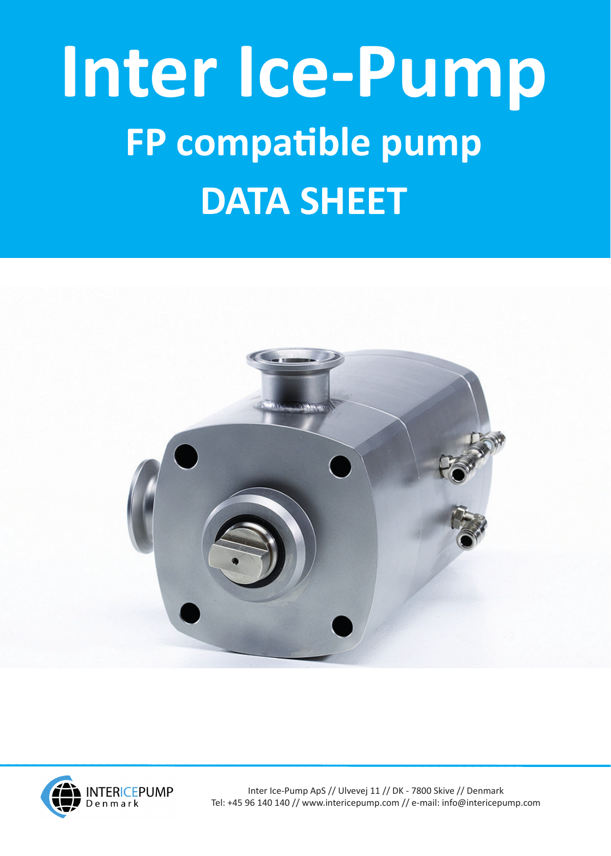## **Inter Ice-Pump FP compatible pump DATA SHEET**





Inter Ice-Pump ApS // Ulvevej 11 // DK - 7800 Skive // Denmark Tel: +45 96 140 140 // www.intericepump.com // e-mail: info@intericepump.com